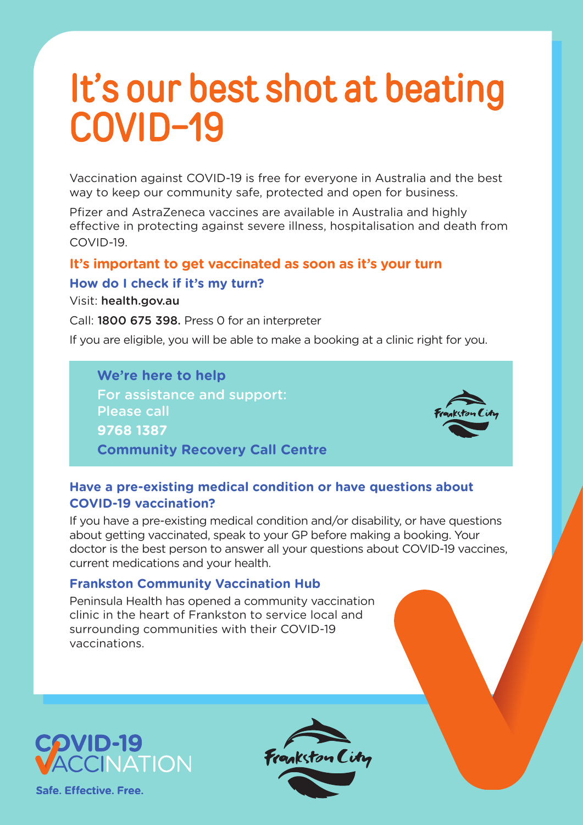# It's our best shot at beating COVID-19

Vaccination against COVID-19 is free for everyone in Australia and the best way to keep our community safe, protected and open for business.

Pfizer and AstraZeneca vaccines are available in Australia and highly effective in protecting against severe illness, hospitalisation and death from COVID-19.

# **It's important to get vaccinated as soon as it's your turn How do I check if it's my turn?**

Visit: health.gov.au

Call: 1800 675 398. Press 0 for an interpreter

If you are eligible, you will be able to make a booking at a clinic right for you.

**We're here to help** For assistance and support: Please call **9768 1387 Community Recovery Call Centre**



# **Have a pre-existing medical condition or have questions about COVID-19 vaccination?**

If you have a pre-existing medical condition and/or disability, or have questions about getting vaccinated, speak to your GP before making a booking. Your doctor is the best person to answer all your questions about COVID-19 vaccines, current medications and your health.

# **Frankston Community Vaccination Hub**

Peninsula Health has opened a community vaccination clinic in the heart of Frankston to service local and surrounding communities with their COVID-19 vaccinations.



Safe, Effective, Free,